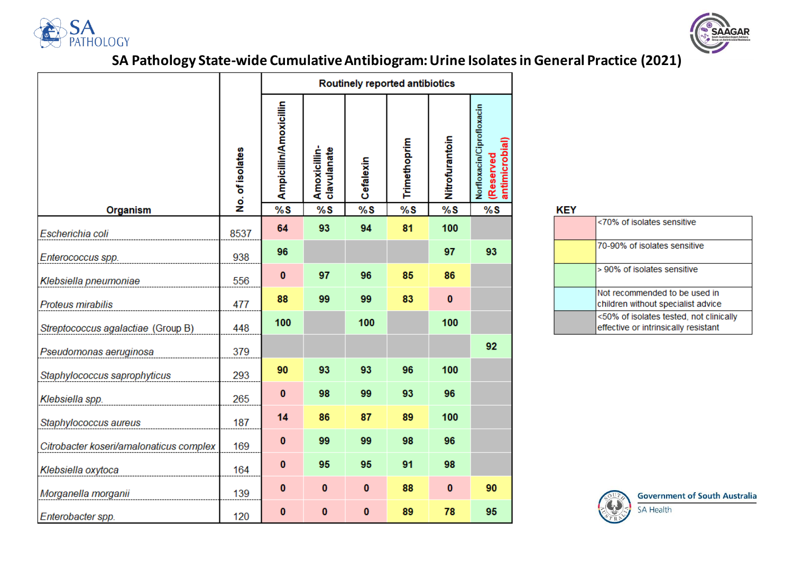



# **SA Pathology State-wide Cumulative Antibiogram: Urine Isolates in General Practice (2021)**

|                                         |                 | Routinely reported antibiotics |                             |           |              |                |                                                          |
|-----------------------------------------|-----------------|--------------------------------|-----------------------------|-----------|--------------|----------------|----------------------------------------------------------|
|                                         | No. of isolates | Ampicillin/Amoxicillin         | Amoxicillin-<br>clavulanate | Cefalexin | Trimethoprim | Nitrofurantoin | Norfloxacin/Ciprofloxacin<br>antimicrobial)<br>(Reserved |
| <b>Organism</b>                         |                 | %S                             | %S                          | %S        | %S           | %S             | %S                                                       |
| Escherichia coli                        | 8537            | 64                             | 93                          | 94        | 81           | 100            |                                                          |
| Enterococcus spp.                       | 938             | 96                             |                             |           |              | 97             | 93                                                       |
| Klebsiella pneumoniae                   | 556             | $\bf{0}$                       | 97                          | 96        | 85           | 86             |                                                          |
| Proteus mirabilis                       | 477             | 88                             | 99                          | 99        | 83           | $\mathbf{0}$   |                                                          |
| Streptococcus agalactiae (Group B)      | 448             | 100                            |                             | 100       |              | 100            |                                                          |
| Pseudomonas aeruginosa                  | 379             |                                |                             |           |              |                | 92                                                       |
| Staphylococcus saprophyticus            | 293             | 90                             | 93                          | 93        | 96           | 100            |                                                          |
| Klebsiella spp.                         | 265             | $\bf{0}$                       | 98                          | 99        | 93           | 96             |                                                          |
| Staphylococcus aureus                   | 187             | 14                             | 86                          | 87        | 89           | 100            |                                                          |
| Citrobacter koseri/amalonaticus complex | 169             | $\bf{0}$                       | 99                          | 99        | 98           | 96             |                                                          |
| Klebsiella oxytoca                      | 164             | $\bf{0}$                       | 95                          | 95        | 91           | 98             |                                                          |
| Morganella morganii                     | 139             | $\bf{0}$                       | $\bf{0}$                    | $\bf{0}$  | 88           | $\bf{0}$       | 90                                                       |
| Enterobacter spp.                       | 120             | 0                              | $\pmb{0}$                   | 0         | 89           | 78             | 95                                                       |

| KEY |                                                                                 |
|-----|---------------------------------------------------------------------------------|
|     | <70% of isolates sensitive                                                      |
|     | 70-90% of isolates sensitive                                                    |
|     | > 90% of isolates sensitive                                                     |
|     | Not recommended to be used in<br>children without specialist advice             |
|     | <50% of isolates tested, not clinically<br>effective or intrinsically resistant |